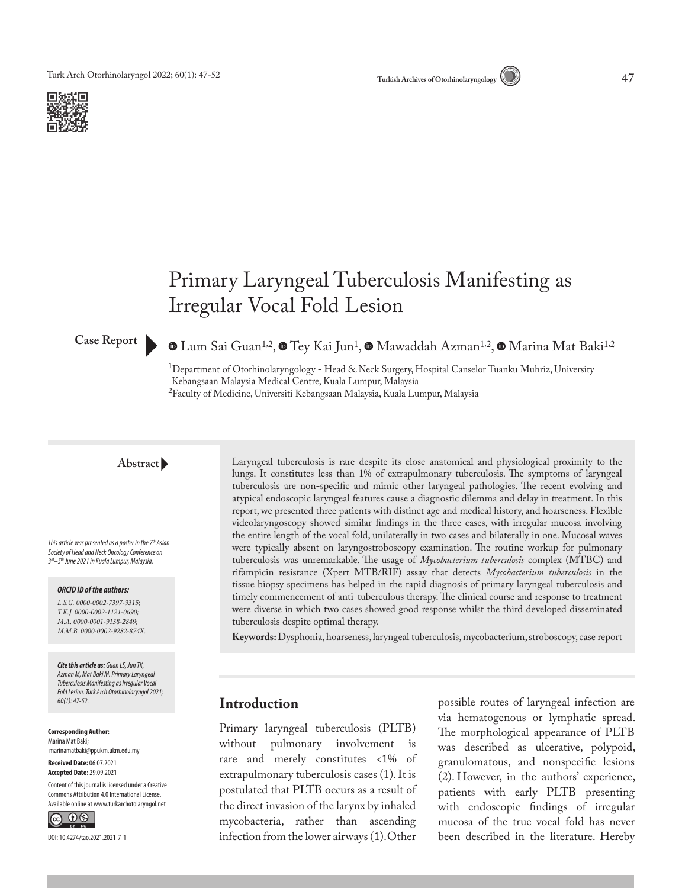



# Primary Laryngeal Tuberculosis Manifesting as Irregular Vocal Fold Lesion

#### **Case Report**

#### $\bullet$ Lum Sai Guan<sup>1,2</sup>,  $\bullet$  Tey Kai Jun<sup>1</sup>,  $\bullet$  Mawaddah Azman<sup>1,2</sup>,  $\bullet$  Marina Mat Baki<sup>1,2</sup>

<sup>1</sup>Department of Otorhinolaryngology - Head & Neck Surgery, Hospital Canselor Tuanku Muhriz, University Kebangsaan Malaysia Medical Centre, Kuala Lumpur, Malaysia <sup>2</sup>Faculty of Medicine, Universiti Kebangsaan Malaysia, Kuala Lumpur, Malaysia

#### **Abstract**

*This article was presented as a poster in the 7th Asian Society of Head and Neck Oncology Conference on 3rd–5th June 2021 in Kuala Lumpur, Malaysia.*

#### *ORCID ID of the authors:*

*L.S.G. 0000-0002-7397-9315; T.K.J. 0000-0002-1121-0690; M.A. 0000-0001-9138-2849; M.M.B. 0000-0002-9282-874X.*

*Cite this article as: Guan LS, Jun TK, Azman M, Mat Baki M. Primary Laryngeal Tuberculosis Manifesting as Irregular Vocal Fold Lesion. Turk Arch Otorhinolaryngol 2021; 60(1): 47-52.*

**Corresponding Author:**  Marina Mat Baki; marinamatbaki@ppukm.ukm.edu.my

**Received Date:** 06.07.2021 **Accepted Date:** 29.09.2021

Content of this journal is licensed under a Creative Commons Attribution 4.0 International License. Available online at www.turkarchotolaryngol.net



DOI: 10.4274/tao.2021.2021-7-1

Laryngeal tuberculosis is rare despite its close anatomical and physiological proximity to the lungs. It constitutes less than 1% of extrapulmonary tuberculosis. The symptoms of laryngeal tuberculosis are non-specific and mimic other laryngeal pathologies. The recent evolving and atypical endoscopic laryngeal features cause a diagnostic dilemma and delay in treatment. In this report, we presented three patients with distinct age and medical history, and hoarseness. Flexible videolaryngoscopy showed similar findings in the three cases, with irregular mucosa involving the entire length of the vocal fold, unilaterally in two cases and bilaterally in one. Mucosal waves were typically absent on laryngostroboscopy examination. The routine workup for pulmonary tuberculosis was unremarkable. The usage of *Mycobacterium tuberculosis* complex (MTBC) and rifampicin resistance (Xpert MTB/RIF) assay that detects *Mycobacterium tuberculosis* in the tissue biopsy specimens has helped in the rapid diagnosis of primary laryngeal tuberculosis and timely commencement of anti-tuberculous therapy. The clinical course and response to treatment were diverse in which two cases showed good response whilst the third developed disseminated tuberculosis despite optimal therapy.

**Keywords:** Dysphonia, hoarseness, laryngeal tuberculosis, mycobacterium, stroboscopy, case report

## **Introduction**

Primary laryngeal tuberculosis (PLTB) without pulmonary involvement is rare and merely constitutes <1% of extrapulmonary tuberculosis cases (1). It is postulated that PLTB occurs as a result of the direct invasion of the larynx by inhaled mycobacteria, rather than ascending infection from the lower airways (1).Other

possible routes of laryngeal infection are via hematogenous or lymphatic spread. The morphological appearance of PLTB was described as ulcerative, polypoid, granulomatous, and nonspecific lesions (2). However, in the authors' experience, patients with early PLTB presenting with endoscopic findings of irregular mucosa of the true vocal fold has never been described in the literature. Hereby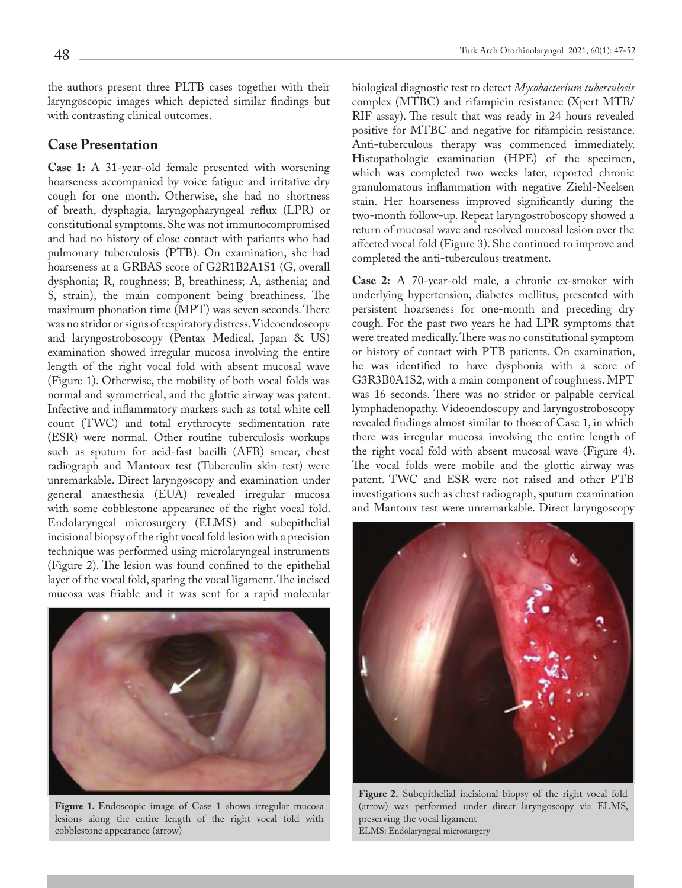the authors present three PLTB cases together with their laryngoscopic images which depicted similar findings but with contrasting clinical outcomes.

## **Case Presentation**

**Case 1:** A 31-year-old female presented with worsening hoarseness accompanied by voice fatigue and irritative dry cough for one month. Otherwise, she had no shortness of breath, dysphagia, laryngopharyngeal reflux (LPR) or constitutional symptoms. She was not immunocompromised and had no history of close contact with patients who had pulmonary tuberculosis (PTB). On examination, she had hoarseness at a GRBAS score of G2R1B2A1S1 (G, overall dysphonia; R, roughness; B, breathiness; A, asthenia; and S, strain), the main component being breathiness. The maximum phonation time (MPT) was seven seconds. There was no stridor or signs of respiratory distress. Videoendoscopy and laryngostroboscopy (Pentax Medical, Japan & US) examination showed irregular mucosa involving the entire length of the right vocal fold with absent mucosal wave (Figure 1). Otherwise, the mobility of both vocal folds was normal and symmetrical, and the glottic airway was patent. Infective and inflammatory markers such as total white cell count (TWC) and total erythrocyte sedimentation rate (ESR) were normal. Other routine tuberculosis workups such as sputum for acid-fast bacilli (AFB) smear, chest radiograph and Mantoux test (Tuberculin skin test) were unremarkable. Direct laryngoscopy and examination under general anaesthesia (EUA) revealed irregular mucosa with some cobblestone appearance of the right vocal fold. Endolaryngeal microsurgery (ELMS) and subepithelial incisional biopsy of the right vocal fold lesion with a precision technique was performed using microlaryngeal instruments (Figure 2). The lesion was found confined to the epithelial layer of the vocal fold, sparing the vocal ligament. The incised mucosa was friable and it was sent for a rapid molecular



Figure 1. Endoscopic image of Case 1 shows irregular mucosa lesions along the entire length of the right vocal fold with cobblestone appearance (arrow)

biological diagnostic test to detect *Mycobacterium tuberculosis* complex (MTBC) and rifampicin resistance (Xpert MTB/ RIF assay). The result that was ready in 24 hours revealed positive for MTBC and negative for rifampicin resistance. Anti-tuberculous therapy was commenced immediately. Histopathologic examination (HPE) of the specimen, which was completed two weeks later, reported chronic granulomatous inflammation with negative Ziehl-Neelsen stain. Her hoarseness improved significantly during the two-month follow-up. Repeat laryngostroboscopy showed a return of mucosal wave and resolved mucosal lesion over the affected vocal fold (Figure 3). She continued to improve and completed the anti-tuberculous treatment.

**Case 2:** A 70-year-old male, a chronic ex-smoker with underlying hypertension, diabetes mellitus, presented with persistent hoarseness for one-month and preceding dry cough. For the past two years he had LPR symptoms that were treated medically. There was no constitutional symptom or history of contact with PTB patients. On examination, he was identified to have dysphonia with a score of G3R3B0A1S2, with a main component of roughness. MPT was 16 seconds. There was no stridor or palpable cervical lymphadenopathy. Videoendoscopy and laryngostroboscopy revealed findings almost similar to those of Case 1, in which there was irregular mucosa involving the entire length of the right vocal fold with absent mucosal wave (Figure 4). The vocal folds were mobile and the glottic airway was patent. TWC and ESR were not raised and other PTB investigations such as chest radiograph, sputum examination and Mantoux test were unremarkable. Direct laryngoscopy



**Figure 2.** Subepithelial incisional biopsy of the right vocal fold (arrow) was performed under direct laryngoscopy via ELMS, preserving the vocal ligament ELMS: Endolaryngeal microsurgery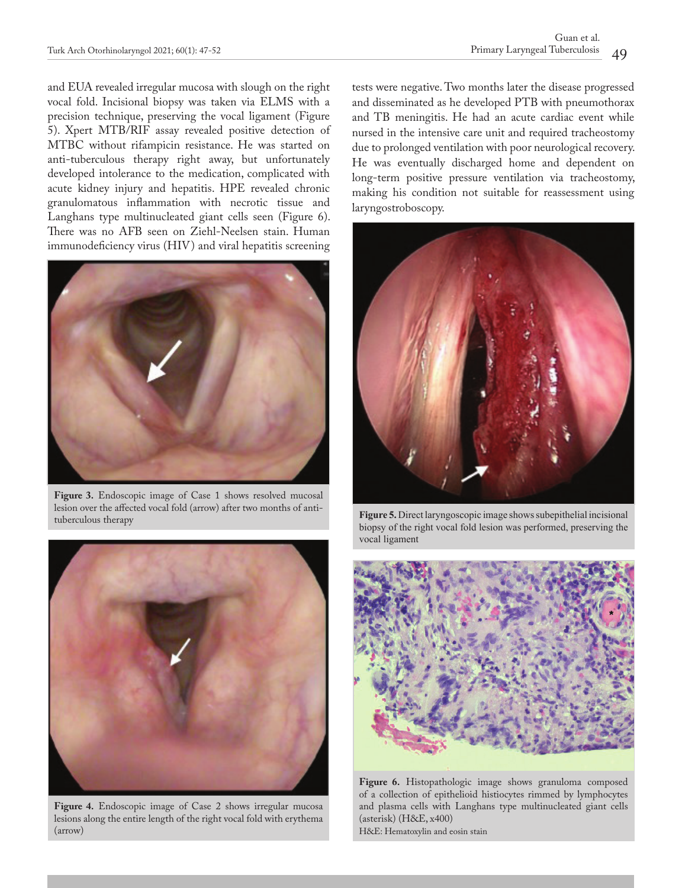and EUA revealed irregular mucosa with slough on the right vocal fold. Incisional biopsy was taken via ELMS with a precision technique, preserving the vocal ligament (Figure 5). Xpert MTB/RIF assay revealed positive detection of MTBC without rifampicin resistance. He was started on anti-tuberculous therapy right away, but unfortunately developed intolerance to the medication, complicated with acute kidney injury and hepatitis. HPE revealed chronic granulomatous inflammation with necrotic tissue and Langhans type multinucleated giant cells seen (Figure 6). There was no AFB seen on Ziehl-Neelsen stain. Human immunodeficiency virus (HIV) and viral hepatitis screening



Figure 3. Endoscopic image of Case 1 shows resolved mucosal lesion over the affected vocal fold (arrow) after two months of antituberculous therapy



**Figure 4.** Endoscopic image of Case 2 shows irregular mucosa lesions along the entire length of the right vocal fold with erythema (arrow)

tests were negative. Two months later the disease progressed and disseminated as he developed PTB with pneumothorax and TB meningitis. He had an acute cardiac event while nursed in the intensive care unit and required tracheostomy due to prolonged ventilation with poor neurological recovery. He was eventually discharged home and dependent on long-term positive pressure ventilation via tracheostomy, making his condition not suitable for reassessment using laryngostroboscopy.



**Figure 5.** Direct laryngoscopic image shows subepithelial incisional biopsy of the right vocal fold lesion was performed, preserving the vocal ligament



**Figure 6.** Histopathologic image shows granuloma composed of a collection of epithelioid histiocytes rimmed by lymphocytes and plasma cells with Langhans type multinucleated giant cells (asterisk) (H&E, x400)

H&E: Hematoxylin and eosin stain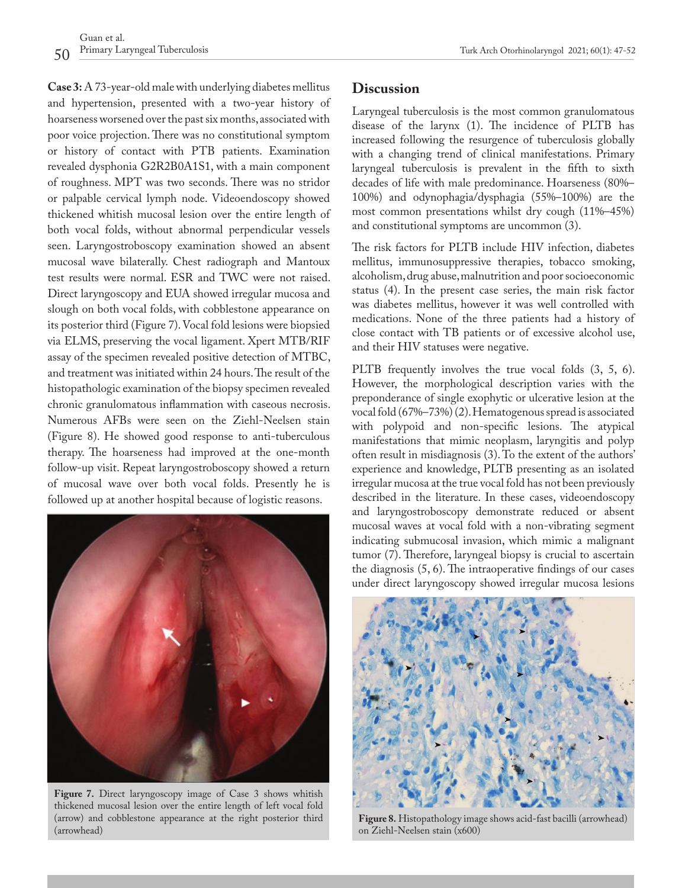**Case 3:** A 73-year-old male with underlying diabetes mellitus and hypertension, presented with a two-year history of hoarseness worsened over the past six months, associated with poor voice projection. There was no constitutional symptom or history of contact with PTB patients. Examination revealed dysphonia G2R2B0A1S1, with a main component of roughness. MPT was two seconds. There was no stridor or palpable cervical lymph node. Videoendoscopy showed thickened whitish mucosal lesion over the entire length of both vocal folds, without abnormal perpendicular vessels seen. Laryngostroboscopy examination showed an absent mucosal wave bilaterally. Chest radiograph and Mantoux test results were normal. ESR and TWC were not raised. Direct laryngoscopy and EUA showed irregular mucosa and slough on both vocal folds, with cobblestone appearance on its posterior third (Figure 7). Vocal fold lesions were biopsied via ELMS, preserving the vocal ligament. Xpert MTB/RIF assay of the specimen revealed positive detection of MTBC, and treatment was initiated within 24 hours. The result of the histopathologic examination of the biopsy specimen revealed chronic granulomatous inflammation with caseous necrosis. Numerous AFBs were seen on the Ziehl-Neelsen stain (Figure 8). He showed good response to anti-tuberculous therapy. The hoarseness had improved at the one-month follow-up visit. Repeat laryngostroboscopy showed a return of mucosal wave over both vocal folds. Presently he is followed up at another hospital because of logistic reasons.



**Figure 7.** Direct laryngoscopy image of Case 3 shows whitish thickened mucosal lesion over the entire length of left vocal fold (arrow) and cobblestone appearance at the right posterior third (arrowhead)

## **Discussion**

Laryngeal tuberculosis is the most common granulomatous disease of the larynx (1). The incidence of PLTB has increased following the resurgence of tuberculosis globally with a changing trend of clinical manifestations. Primary laryngeal tuberculosis is prevalent in the fifth to sixth decades of life with male predominance. Hoarseness (80%– 100%) and odynophagia/dysphagia (55%–100%) are the most common presentations whilst dry cough (11%–45%) and constitutional symptoms are uncommon (3).

The risk factors for PLTB include HIV infection, diabetes mellitus, immunosuppressive therapies, tobacco smoking, alcoholism, drug abuse, malnutrition and poor socioeconomic status (4). In the present case series, the main risk factor was diabetes mellitus, however it was well controlled with medications. None of the three patients had a history of close contact with TB patients or of excessive alcohol use, and their HIV statuses were negative.

PLTB frequently involves the true vocal folds (3, 5, 6). However, the morphological description varies with the preponderance of single exophytic or ulcerative lesion at the vocal fold (67%–73%) (2). Hematogenous spread is associated with polypoid and non-specific lesions. The atypical manifestations that mimic neoplasm, laryngitis and polyp often result in misdiagnosis (3). To the extent of the authors' experience and knowledge, PLTB presenting as an isolated irregular mucosa at the true vocal fold has not been previously described in the literature. In these cases, videoendoscopy and laryngostroboscopy demonstrate reduced or absent mucosal waves at vocal fold with a non-vibrating segment indicating submucosal invasion, which mimic a malignant tumor (7). Therefore, laryngeal biopsy is crucial to ascertain the diagnosis (5, 6). The intraoperative findings of our cases under direct laryngoscopy showed irregular mucosa lesions



**Figure 8.** Histopathology image shows acid-fast bacilli (arrowhead) on Ziehl-Neelsen stain (x600)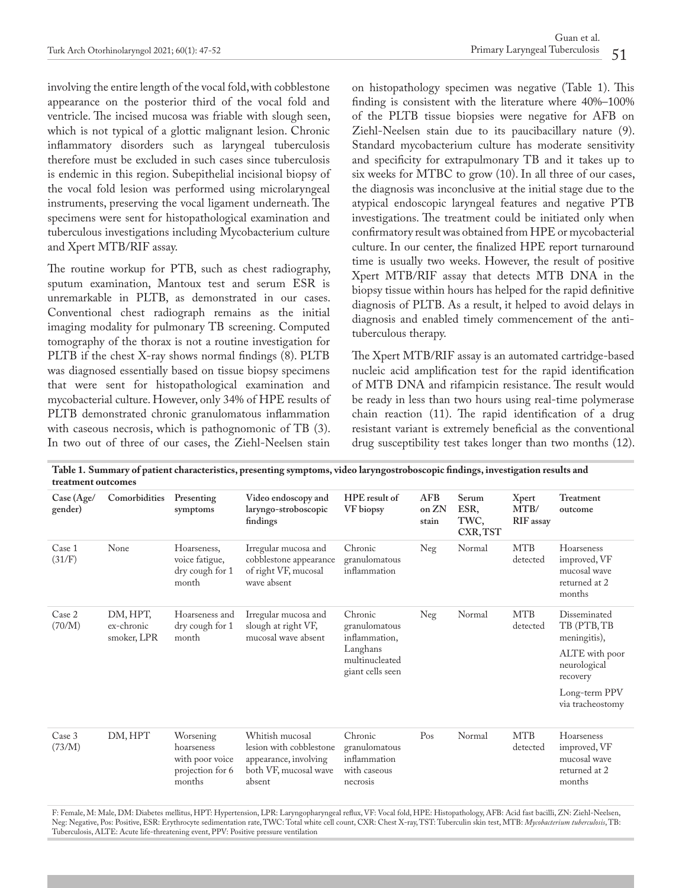ventricle. The incised mucosa was friable with slough seen, which is not typical of a glottic malignant lesion. Chronic inflammatory disorders such as laryngeal tuberculosis therefore must be excluded in such cases since tuberculosis is endemic in this region. Subepithelial incisional biopsy of the vocal fold lesion was performed using microlaryngeal instruments, preserving the vocal ligament underneath. The specimens were sent for histopathological examination and tuberculous investigations including Mycobacterium culture and Xpert MTB/RIF assay.

The routine workup for PTB, such as chest radiography, sputum examination, Mantoux test and serum ESR is unremarkable in PLTB, as demonstrated in our cases. Conventional chest radiograph remains as the initial imaging modality for pulmonary TB screening. Computed tomography of the thorax is not a routine investigation for PLTB if the chest X-ray shows normal findings (8). PLTB was diagnosed essentially based on tissue biopsy specimens that were sent for histopathological examination and mycobacterial culture. However, only 34% of HPE results of PLTB demonstrated chronic granulomatous inflammation with caseous necrosis, which is pathognomonic of TB (3). In two out of three of our cases, the Ziehl-Neelsen stain

on histopathology specimen was negative (Table 1). This finding is consistent with the literature where 40%–100% of the PLTB tissue biopsies were negative for AFB on Ziehl-Neelsen stain due to its paucibacillary nature (9). Standard mycobacterium culture has moderate sensitivity and specificity for extrapulmonary TB and it takes up to six weeks for MTBC to grow (10). In all three of our cases, the diagnosis was inconclusive at the initial stage due to the atypical endoscopic laryngeal features and negative PTB investigations. The treatment could be initiated only when confirmatory result was obtained from HPE or mycobacterial culture. In our center, the finalized HPE report turnaround time is usually two weeks. However, the result of positive Xpert MTB/RIF assay that detects MTB DNA in the biopsy tissue within hours has helped for the rapid definitive diagnosis of PLTB. As a result, it helped to avoid delays in diagnosis and enabled timely commencement of the antituberculous therapy.

The Xpert MTB/RIF assay is an automated cartridge-based nucleic acid amplification test for the rapid identification of MTB DNA and rifampicin resistance. The result would be ready in less than two hours using real-time polymerase chain reaction (11). The rapid identification of a drug resistant variant is extremely beneficial as the conventional drug susceptibility test takes longer than two months (12).

| treatment outcomes    |                                       |                                                                          |                                                                                                        |                                                                                             |                       |                                   |                                          |                                                                       |
|-----------------------|---------------------------------------|--------------------------------------------------------------------------|--------------------------------------------------------------------------------------------------------|---------------------------------------------------------------------------------------------|-----------------------|-----------------------------------|------------------------------------------|-----------------------------------------------------------------------|
| Case (Age/<br>gender) | Comorbidities                         | Presenting<br>symptoms                                                   | Video endoscopy and<br>laryngo-stroboscopic<br>findings                                                | HPE result of<br>VF biopsy                                                                  | AFB<br>on ZN<br>stain | Serum<br>ESR,<br>TWC,<br>CXR, TST | <b>Xpert</b><br>MTB/<br><b>RIF</b> assay | Treatment<br>outcome                                                  |
| Case 1<br>(31/F)      | None                                  | Hoarseness,<br>voice fatigue,<br>dry cough for 1<br>month                | Irregular mucosa and<br>cobblestone appearance<br>of right VF, mucosal<br>wave absent                  | Chronic<br>granulomatous<br>inflammation                                                    | Neg                   | Normal                            | <b>MTB</b><br>detected                   | Hoarseness<br>improved, VF<br>mucosal wave<br>returned at 2<br>months |
| Case 2<br>(70/M)      | DM, HPT,<br>ex-chronic<br>smoker, LPR | Hoarseness and<br>dry cough for 1<br>month                               | Irregular mucosa and<br>slough at right VF,<br>mucosal wave absent                                     | Chronic<br>granulomatous<br>inflammation,<br>Langhans<br>multinucleated<br>giant cells seen | Neg                   | Normal                            | <b>MTB</b><br>detected                   | Disseminated<br>TB (PTB, TB<br>meningitis),                           |
|                       |                                       |                                                                          |                                                                                                        |                                                                                             |                       |                                   |                                          | ALTE with poor<br>neurological<br>recovery                            |
|                       |                                       |                                                                          |                                                                                                        |                                                                                             |                       |                                   |                                          | Long-term PPV<br>via tracheostomy                                     |
| Case 3<br>(73/M)      | DM, HPT                               | Worsening<br>hoarseness<br>with poor voice<br>projection for 6<br>months | Whitish mucosal<br>lesion with cobblestone<br>appearance, involving<br>both VF, mucosal wave<br>absent | Chronic<br>granulomatous<br>inflammation<br>with caseous<br>necrosis                        | Pos                   | Normal                            | <b>MTB</b><br>detected                   | Hoarseness<br>improved, VF<br>mucosal wave<br>returned at 2<br>months |

**Table 1. Summary of patient characteristics, presenting symptoms, video laryngostroboscopic findings, investigation results and** 

F: Female, M: Male, DM: Diabetes mellitus, HPT: Hypertension, LPR: Laryngopharyngeal reflux, VF: Vocal fold, HPE: Histopathology, AFB: Acid fast bacilli, ZN: Ziehl-Neelsen, Neg: Negative, Pos: Positive, ESR: Erythrocyte sedimentation rate, TWC: Total white cell count, CXR: Chest X-ray, TST: Tuberculin skin test, MTB: *Mycobacterium tuberculosis*, TB: Tuberculosis, ALTE: Acute life-threatening event, PPV: Positive pressure ventilation